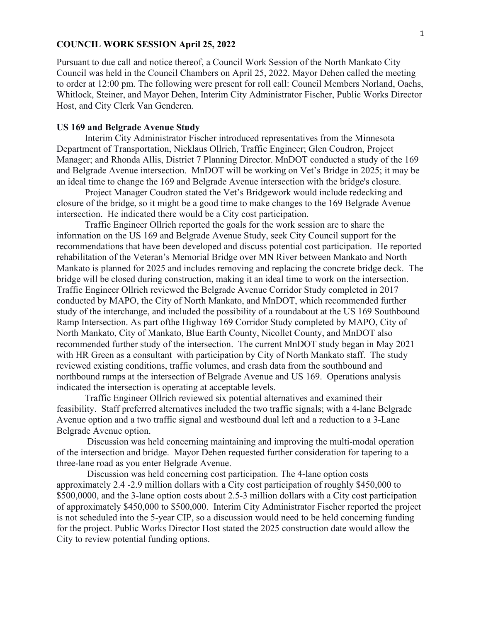## **COUNCIL WORK SESSION April 25, 2022**

Pursuant to due call and notice thereof, a Council Work Session of the North Mankato City Council was held in the Council Chambers on April 25, 2022. Mayor Dehen called the meeting to order at 12:00 pm. The following were present for roll call: Council Members Norland, Oachs, Whitlock, Steiner, and Mayor Dehen, Interim City Administrator Fischer, Public Works Director Host, and City Clerk Van Genderen.

## **US 169 and Belgrade Avenue Study**

Interim City Administrator Fischer introduced representatives from the Minnesota Department of Transportation, Nicklaus Ollrich, Traffic Engineer; Glen Coudron, Project Manager; and Rhonda Allis, District 7 Planning Director. MnDOT conducted a study of the 169 and Belgrade Avenue intersection. MnDOT will be working on Vet's Bridge in 2025; it may be an ideal time to change the 169 and Belgrade Avenue intersection with the bridge's closure.

Project Manager Coudron stated the Vet's Bridgework would include redecking and closure of the bridge, so it might be a good time to make changes to the 169 Belgrade Avenue intersection. He indicated there would be a City cost participation.

Traffic Engineer Ollrich reported the goals for the work session are to share the information on the US 169 and Belgrade Avenue Study, seek City Council support for the recommendations that have been developed and discuss potential cost participation. He reported rehabilitation of the Veteran's Memorial Bridge over MN River between Mankato and North Mankato is planned for 2025 and includes removing and replacing the concrete bridge deck. The bridge will be closed during construction, making it an ideal time to work on the intersection. Traffic Engineer Ollrich reviewed the Belgrade Avenue Corridor Study completed in 2017 conducted by MAPO, the City of North Mankato, and MnDOT, which recommended further study of the interchange, and included the possibility of a roundabout at the US 169 Southbound Ramp Intersection. As part ofthe Highway 169 Corridor Study completed by MAPO, City of North Mankato, City of Mankato, Blue Earth County, Nicollet County, and MnDOT also recommended further study of the intersection. The current MnDOT study began in May 2021 with HR Green as a consultant with participation by City of North Mankato staff. The study reviewed existing conditions, traffic volumes, and crash data from the southbound and northbound ramps at the intersection of Belgrade Avenue and US 169. Operations analysis indicated the intersection is operating at acceptable levels.

Traffic Engineer Ollrich reviewed six potential alternatives and examined their feasibility. Staff preferred alternatives included the two traffic signals; with a 4-lane Belgrade Avenue option and a two traffic signal and westbound dual left and a reduction to a 3-Lane Belgrade Avenue option.

Discussion was held concerning maintaining and improving the multi-modal operation of the intersection and bridge. Mayor Dehen requested further consideration for tapering to a three-lane road as you enter Belgrade Avenue.

Discussion was held concerning cost participation. The 4-lane option costs approximately 2.4 -2.9 million dollars with a City cost participation of roughly \$450,000 to \$500,0000, and the 3-lane option costs about 2.5-3 million dollars with a City cost participation of approximately \$450,000 to \$500,000. Interim City Administrator Fischer reported the project is not scheduled into the 5-year CIP, so a discussion would need to be held concerning funding for the project. Public Works Director Host stated the 2025 construction date would allow the City to review potential funding options.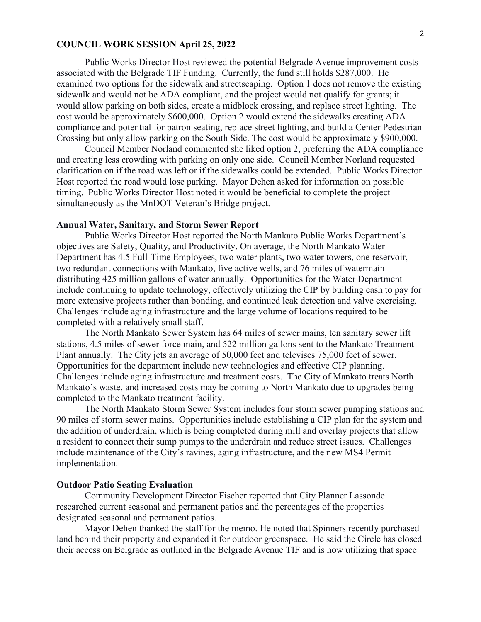## **COUNCIL WORK SESSION April 25, 2022**

Public Works Director Host reviewed the potential Belgrade Avenue improvement costs associated with the Belgrade TIF Funding. Currently, the fund still holds \$287,000. He examined two options for the sidewalk and streetscaping. Option 1 does not remove the existing sidewalk and would not be ADA compliant, and the project would not qualify for grants; it would allow parking on both sides, create a midblock crossing, and replace street lighting. The cost would be approximately \$600,000. Option 2 would extend the sidewalks creating ADA compliance and potential for patron seating, replace street lighting, and build a Center Pedestrian Crossing but only allow parking on the South Side. The cost would be approximately \$900,000.

Council Member Norland commented she liked option 2, preferring the ADA compliance and creating less crowding with parking on only one side. Council Member Norland requested clarification on if the road was left or if the sidewalks could be extended. Public Works Director Host reported the road would lose parking. Mayor Dehen asked for information on possible timing. Public Works Director Host noted it would be beneficial to complete the project simultaneously as the MnDOT Veteran's Bridge project.

#### **Annual Water, Sanitary, and Storm Sewer Report**

Public Works Director Host reported the North Mankato Public Works Department's objectives are Safety, Quality, and Productivity. On average, the North Mankato Water Department has 4.5 Full-Time Employees, two water plants, two water towers, one reservoir, two redundant connections with Mankato, five active wells, and 76 miles of watermain distributing 425 million gallons of water annually. Opportunities for the Water Department include continuing to update technology, effectively utilizing the CIP by building cash to pay for more extensive projects rather than bonding, and continued leak detection and valve exercising. Challenges include aging infrastructure and the large volume of locations required to be completed with a relatively small staff.

The North Mankato Sewer System has 64 miles of sewer mains, ten sanitary sewer lift stations, 4.5 miles of sewer force main, and 522 million gallons sent to the Mankato Treatment Plant annually. The City jets an average of 50,000 feet and televises 75,000 feet of sewer. Opportunities for the department include new technologies and effective CIP planning. Challenges include aging infrastructure and treatment costs. The City of Mankato treats North Mankato's waste, and increased costs may be coming to North Mankato due to upgrades being completed to the Mankato treatment facility.

The North Mankato Storm Sewer System includes four storm sewer pumping stations and 90 miles of storm sewer mains. Opportunities include establishing a CIP plan for the system and the addition of underdrain, which is being completed during mill and overlay projects that allow a resident to connect their sump pumps to the underdrain and reduce street issues. Challenges include maintenance of the City's ravines, aging infrastructure, and the new MS4 Permit implementation.

### **Outdoor Patio Seating Evaluation**

Community Development Director Fischer reported that City Planner Lassonde researched current seasonal and permanent patios and the percentages of the properties designated seasonal and permanent patios.

Mayor Dehen thanked the staff for the memo. He noted that Spinners recently purchased land behind their property and expanded it for outdoor greenspace. He said the Circle has closed their access on Belgrade as outlined in the Belgrade Avenue TIF and is now utilizing that space